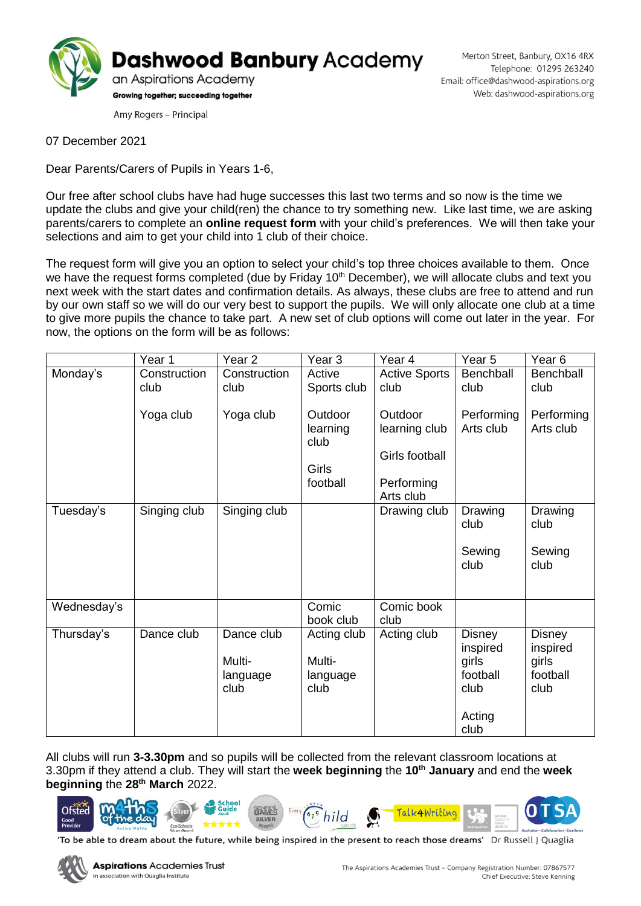

Merton Street, Banbury, OX16 4RX Telephone: 01295 263240 Email: office@dashwood-aspirations.org Web: dashwood-aspirations.org

Amy Rogers - Principal

07 December 2021

Dear Parents/Carers of Pupils in Years 1-6,

Our free after school clubs have had huge successes this last two terms and so now is the time we update the clubs and give your child(ren) the chance to try something new. Like last time, we are asking parents/carers to complete an **online request form** with your child's preferences. We will then take your selections and aim to get your child into 1 club of their choice.

The request form will give you an option to select your child's top three choices available to them. Once we have the request forms completed (due by Friday 10<sup>th</sup> December), we will allocate clubs and text you next week with the start dates and confirmation details. As always, these clubs are free to attend and run by our own staff so we will do our very best to support the pupils. We will only allocate one club at a time to give more pupils the chance to take part. A new set of club options will come out later in the year. For now, the options on the form will be as follows:

|             | Year 1       | Year <sub>2</sub>                        | Year <sub>3</sub>                         | Year 4                                     | Year <sub>5</sub>                                      | Year <sub>6</sub>                               |
|-------------|--------------|------------------------------------------|-------------------------------------------|--------------------------------------------|--------------------------------------------------------|-------------------------------------------------|
| Monday's    | Construction | Construction                             | Active                                    | <b>Active Sports</b>                       | Benchball                                              | Benchball                                       |
|             | club         | club                                     | Sports club                               | club                                       | club                                                   | club                                            |
|             | Yoga club    | Yoga club                                | Outdoor<br>learning<br>club               | Outdoor<br>learning club<br>Girls football | Performing<br>Arts club                                | Performing<br>Arts club                         |
|             |              |                                          | Girls                                     |                                            |                                                        |                                                 |
|             |              |                                          | football                                  | Performing<br>Arts club                    |                                                        |                                                 |
| Tuesday's   | Singing club | Singing club                             |                                           | Drawing club                               | Drawing<br>club                                        | Drawing<br>club                                 |
|             |              |                                          |                                           |                                            | Sewing<br>club                                         | Sewing<br>club                                  |
| Wednesday's |              |                                          | Comic<br>book club                        | Comic book<br>club                         |                                                        |                                                 |
| Thursday's  | Dance club   | Dance club<br>Multi-<br>language<br>club | Acting club<br>Multi-<br>language<br>club | Acting club                                | <b>Disney</b><br>inspired<br>girls<br>football<br>club | Disney<br>inspired<br>girls<br>football<br>club |
|             |              |                                          |                                           |                                            | Acting<br>club                                         |                                                 |

All clubs will run **3-3.30pm** and so pupils will be collected from the relevant classroom locations at 3.30pm if they attend a club. They will start the **week beginning** the **10th January** and end the **week beginning** the **28th March** 2022.



'To be able to dream about the future, while being inspired in the present to reach those dreams' Dr Russell J Quaglia